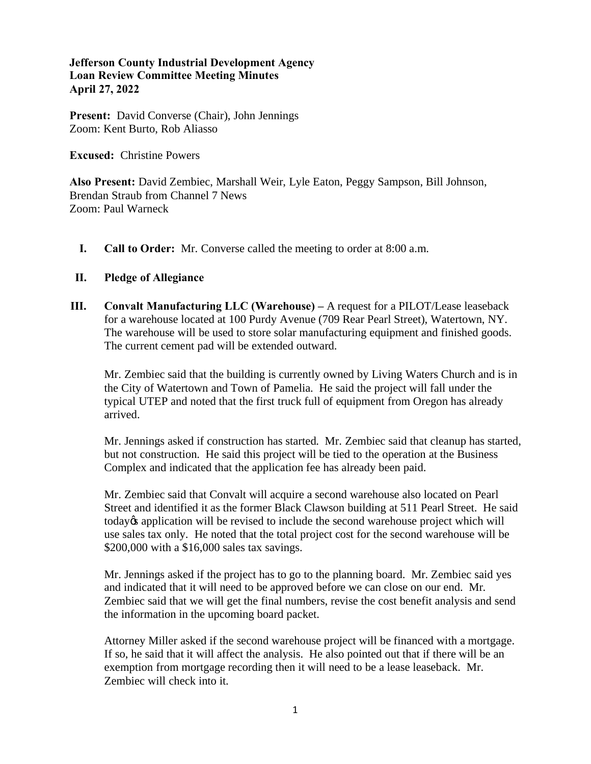## **Jefferson County Industrial Development Agency Loan Review Committee Meeting Minutes April 27, 2022**

**Present:** David Converse (Chair), John Jennings Zoom: Kent Burto, Rob Aliasso

**Excused:** Christine Powers

**Also Present:** David Zembiec, Marshall Weir, Lyle Eaton, Peggy Sampson, Bill Johnson, Brendan Straub from Channel 7 News Zoom: Paul Warneck

**I. Call to Order:** Mr. Converse called the meeting to order at 8:00 a.m.

## **II. Pledge of Allegiance**

**III. Convalt Manufacturing LLC (Warehouse) –** A request for a PILOT/Lease leaseback for a warehouse located at 100 Purdy Avenue (709 Rear Pearl Street), Watertown, NY. The warehouse will be used to store solar manufacturing equipment and finished goods. The current cement pad will be extended outward.

Mr. Zembiec said that the building is currently owned by Living Waters Church and is in the City of Watertown and Town of Pamelia. He said the project will fall under the typical UTEP and noted that the first truck full of equipment from Oregon has already arrived.

Mr. Jennings asked if construction has started. Mr. Zembiec said that cleanup has started, but not construction. He said this project will be tied to the operation at the Business Complex and indicated that the application fee has already been paid.

Mr. Zembiec said that Convalt will acquire a second warehouse also located on Pearl Street and identified it as the former Black Clawson building at 511 Pearl Street. He said today's application will be revised to include the second warehouse project which will use sales tax only. He noted that the total project cost for the second warehouse will be \$200,000 with a \$16,000 sales tax savings.

Mr. Jennings asked if the project has to go to the planning board. Mr. Zembiec said yes and indicated that it will need to be approved before we can close on our end. Mr. Zembiec said that we will get the final numbers, revise the cost benefit analysis and send the information in the upcoming board packet.

Attorney Miller asked if the second warehouse project will be financed with a mortgage. If so, he said that it will affect the analysis. He also pointed out that if there will be an exemption from mortgage recording then it will need to be a lease leaseback. Mr. Zembiec will check into it.